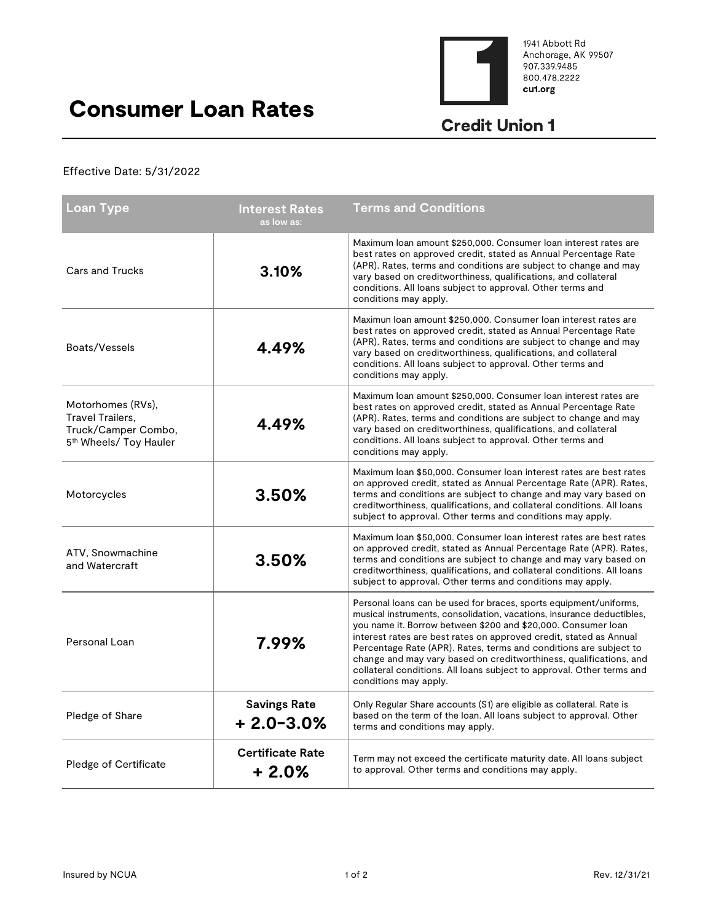

1941 Abbott Rd Anchorage, AK 99507<br>907.339.9485 800.478.2222 cu1.org

 $\overline{a}$ 

## Consumer Loan Rates

## **Credit Union 1**

## Effective Date: 5/31/2022

| Loan Type                                                                                          | <b>Interest Rates</b><br>as low as:  | <b>Terms and Conditions</b>                                                                                                                                                                                                                                                                                                                                                                                                                                                                                                    |
|----------------------------------------------------------------------------------------------------|--------------------------------------|--------------------------------------------------------------------------------------------------------------------------------------------------------------------------------------------------------------------------------------------------------------------------------------------------------------------------------------------------------------------------------------------------------------------------------------------------------------------------------------------------------------------------------|
| <b>Cars and Trucks</b>                                                                             | 3.10%                                | Maximum loan amount \$250,000. Consumer loan interest rates are<br>best rates on approved credit, stated as Annual Percentage Rate<br>(APR). Rates, terms and conditions are subject to change and may<br>vary based on creditworthiness, qualifications, and collateral<br>conditions. All loans subject to approval. Other terms and<br>conditions may apply.                                                                                                                                                                |
| Boats/Vessels                                                                                      | 4.49%                                | Maximun Ioan amount \$250,000. Consumer Ioan interest rates are<br>best rates on approved credit, stated as Annual Percentage Rate<br>(APR). Rates, terms and conditions are subject to change and may<br>vary based on creditworthiness, qualifications, and collateral<br>conditions. All loans subject to approval. Other terms and<br>conditions may apply.                                                                                                                                                                |
| Motorhomes (RVs).<br>Travel Trailers,<br>Truck/Camper Combo,<br>5 <sup>th</sup> Wheels/ Toy Hauler | 4.49%                                | Maximum loan amount \$250,000. Consumer loan interest rates are<br>best rates on approved credit, stated as Annual Percentage Rate<br>(APR). Rates, terms and conditions are subject to change and may<br>vary based on creditworthiness, qualifications, and collateral<br>conditions. All loans subject to approval. Other terms and<br>conditions may apply.                                                                                                                                                                |
| Motorcycles                                                                                        | 3.50%                                | Maximum loan \$50,000. Consumer loan interest rates are best rates<br>on approved credit, stated as Annual Percentage Rate (APR). Rates,<br>terms and conditions are subject to change and may vary based on<br>creditworthiness, qualifications, and collateral conditions. All loans<br>subject to approval. Other terms and conditions may apply.                                                                                                                                                                           |
| ATV, Snowmachine<br>and Watercraft                                                                 | 3.50%                                | Maximum Ioan \$50,000. Consumer Ioan interest rates are best rates<br>on approved credit, stated as Annual Percentage Rate (APR). Rates,<br>terms and conditions are subject to change and may vary based on<br>creditworthiness, qualifications, and collateral conditions. All loans<br>subject to approval. Other terms and conditions may apply.                                                                                                                                                                           |
| Personal Loan                                                                                      | 7.99%                                | Personal loans can be used for braces, sports equipment/uniforms,<br>musical instruments, consolidation, vacations, insurance deductibles,<br>you name it. Borrow between \$200 and \$20,000. Consumer loan<br>interest rates are best rates on approved credit, stated as Annual<br>Percentage Rate (APR). Rates, terms and conditions are subject to<br>change and may vary based on creditworthiness, qualifications, and<br>collateral conditions. All loans subject to approval. Other terms and<br>conditions may apply. |
| Pledge of Share                                                                                    | <b>Savings Rate</b><br>$+2.0 - 3.0%$ | Only Regular Share accounts (S1) are eligible as collateral. Rate is<br>based on the term of the loan. All loans subject to approval. Other<br>terms and conditions may apply.                                                                                                                                                                                                                                                                                                                                                 |
| Pledge of Certificate                                                                              | <b>Certificate Rate</b><br>$+2.0%$   | Term may not exceed the certificate maturity date. All loans subject<br>to approval. Other terms and conditions may apply.                                                                                                                                                                                                                                                                                                                                                                                                     |